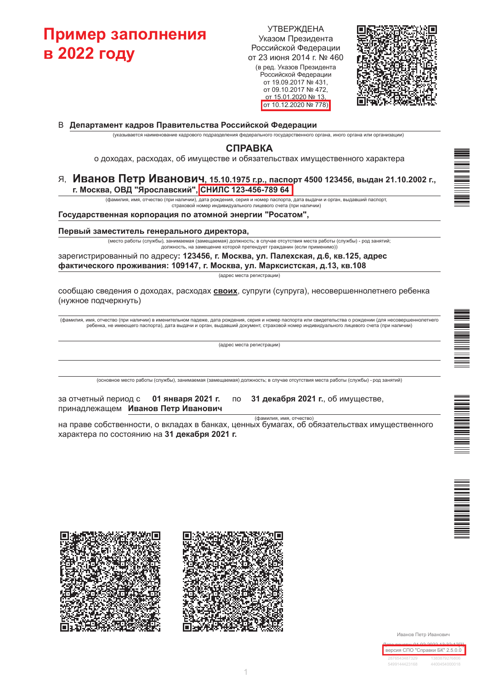# Пример заполнения **в 2022 году**

**УТВЕРЖДЕНА** Указом Президента Российской Федерации от 23 июня 2014 г. № 460 (в ред. Указов Президента Российской Федерации от 19.09.2017 № 431, от 09.10.2017 № 472, от 15 01 2020 № 13

от 10.12.2020 № 778)



В Департамент кадров Правительства Российской Федерации

(указывается наименование кадрового подразделения федерального государственного органа, иного органа или организации)

### **СПРАВКА**

о доходах, расходах, об имуществе и обязательствах имущественного характера

#### Я, Иванов Петр Иванович, 15.10.1975 г.р., паспорт 4500 123456, выдан 21.10.2002 г., г. Москва, ОВД "Ярославский", СНИЛС 123-456-789 64

(фамилия, имя, отчество (при наличии), дата рождения, серия и номер паспорта, дата выдачи и орган, выдавший паспорт, страховой номер индивидуального лицевого счета (при наличии)

#### Государственная корпорация по атомной энергии "Росатом",

#### Первый заместитель генерального директора,

(место работы (службы), занимаемая (замещаемая) должность; в случае отсутствия места работы (службы) - род занятий; должность, на замещение которой претендует гражданин (если применимо)

зарегистрированный по адресу: 123456, г. Москва, ул. Палехская, д.6, кв.125, адрес фактического проживания: 109147, г. Москва, ул. Марксистская, д.13, кв.108

(адрес места регистрации)

сообщаю сведения о доходах, расходах своих, супруги (супруга), несовершеннолетнего ребенка (нужное подчеркнуть)

(фамилия, имя, отчество (при наличии) в именительном падеже, дата рождения, серия и номер паспорта или свидетельства о рождении (для несовершеннолетнего еющего паспорта), дата выдачи и орган, выдавший документ, страховой номер индивидуального лицевого счета (при наличии) ребенка, не им

(адрес места регистрации)

(основное место работы (службы), занимаемая (замещаемая) должность; в случае отсутствия места работы (службы) - род занятий)

| за отчетный период с | 01 января 2021 г.                  |
|----------------------|------------------------------------|
|                      | принадлежащем Иванов Петр Иванович |

31 декабря 2021 г., об имуществе,

(фамилия, имя, отчество)

на праве собственности, о вкладах в банках, ценных бумагах, об обязательствах имущественного характера по состоянию на 31 декабря 2021 г.

**no** 









Иванов Петр Иванович

| версия СПО "Справки БК" 2.5.0.0 |               |
|---------------------------------|---------------|
| 2876543487329                   | 1383879276806 |
| 5499144423168                   | 4400454000018 |

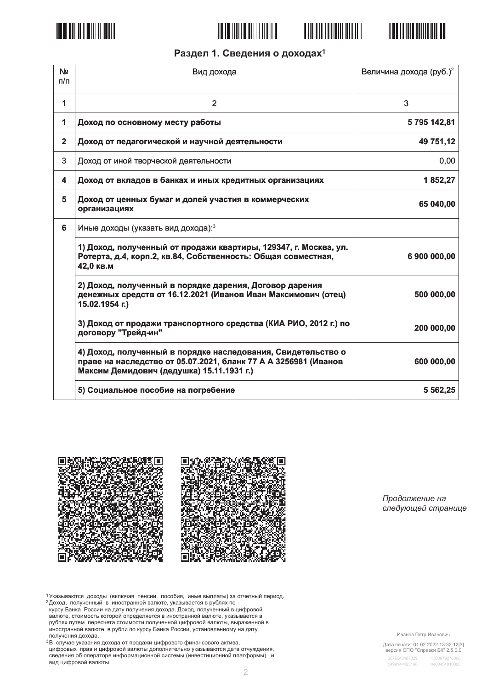







# Раздел 1. Сведения о доходах<sup>1</sup>

| N <sub>2</sub><br>n/n | Вид дохода                                                                                                                                                                   | Величина дохода (руб.) <sup>2</sup> |
|-----------------------|------------------------------------------------------------------------------------------------------------------------------------------------------------------------------|-------------------------------------|
| 1                     | $\overline{2}$                                                                                                                                                               | 3                                   |
| 1                     | Доход по основному месту работы                                                                                                                                              | 5795142,81                          |
| $\overline{2}$        | Доход от педагогической и научной деятельности                                                                                                                               | 49 751,12                           |
| 3                     | Доход от иной творческой деятельности                                                                                                                                        | 0,00                                |
| 4                     | Доход от вкладов в банках и иных кредитных организациях                                                                                                                      | 1852,27                             |
| 5                     | Доход от ценных бумаг и долей участия в коммерческих<br>организациях                                                                                                         | 65 040,00                           |
| 6                     | Иные доходы (указать вид дохода): 3                                                                                                                                          |                                     |
|                       | 1) Доход, полученный от продажи квартиры, 129347, г. Москва, ул.<br>Ротерта, д.4, корп.2, кв.84, Собственность: Общая совместная,<br>42,0 кв.м                               | 6 900 000,00                        |
|                       | 2) Доход, полученный в порядке дарения, Договор дарения<br>денежных средств от 16.12.2021 (Иванов Иван Максимович (отец)<br>15.02.1954 г.)                                   | 500 000,00                          |
|                       | 3) Доход от продажи транспортного средства (КИА РИО, 2012 г.) по<br>договору "Трейд-ин"                                                                                      | 200 000,00                          |
|                       | 4) Доход, полученный в порядке наследования, Свидетельство о<br>праве на наследство от 05.07.2021, бланк 77 А А 3256981 (Иванов<br>Максим Демидович (дедушка) 15.11.1931 г.) | 600 000,00                          |
|                       | 5) Социальное пособие на погребение                                                                                                                                          | 5 5 6 2, 25                         |



Продолжение на следующей странице

Дата печати: 01.02.2022 13:32:12[3]<br>версия СПО "Справки БК" 2.5.0.0

<sup>1</sup> Указываются доходы (включая пенсии, пособия, иные выплаты) за отчетный период.

именными и составились и состоительной валюте, указывается в рублях по<br>курсу Банка России на дату получения дохода. Доход, полученный в цифровой<br>валюте, стоимость которой определяется в иностранной валюте, указывается в валюте, стоимость котором определяется в иностранной валюты, указывается в рублях путем пересчета стоимости полученной цифровой валюты, выраженной в<br>иностранной валюте, в рубли по курсу Банка России, установленному на дат получения дохода.

<sup>&</sup>lt;sup>3</sup>В случае указания дохода от продажи цифрового финансового актива, и случае у маслили докада от продали телевизирования дифровых прав и цифровой валются дополнительно указываются дата отчуждения,<br>сведения об операторе информационной системы (инвестиционной платформы) и вид цифровой валюты.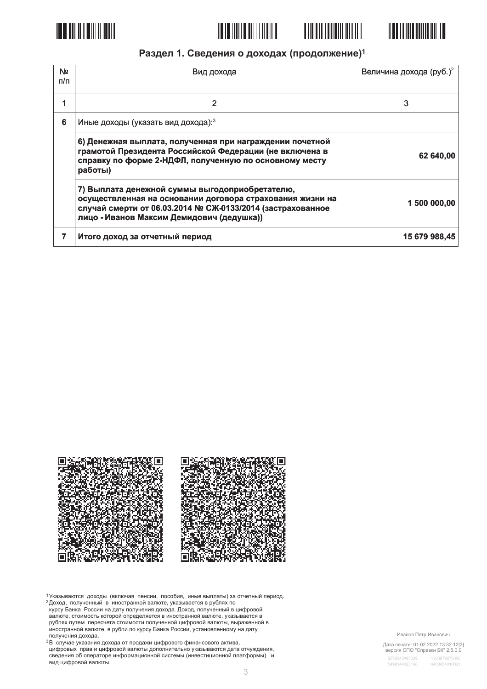







### Раздел 1. Сведения о доходах (продолжение)<sup>1</sup>

| N <sub>2</sub><br>п/п | Вид дохода                                                                                                                                                                                                             | Величина дохода (руб.) <sup>2</sup> |  |
|-----------------------|------------------------------------------------------------------------------------------------------------------------------------------------------------------------------------------------------------------------|-------------------------------------|--|
|                       | 2                                                                                                                                                                                                                      | 3                                   |  |
| 6                     | Иные доходы (указать вид дохода): 3                                                                                                                                                                                    |                                     |  |
|                       | 6) Денежная выплата, полученная при награждении почетной<br>грамотой Президента Российской Федерации (не включена в<br>справку по форме 2-НДФЛ, полученную по основному месту<br>работы)                               | 62 640,00                           |  |
|                       | 7) Выплата денежной суммы выгодоприобретателю,<br>осуществленная на основании договора страхования жизни на<br>случай смерти от 06.03.2014 № СЖ-0133/2014 (застрахованное<br>лицо - Иванов Максим Демидович (дедушка)) | 1 500 000,00                        |  |
|                       | Итого доход за отчетный период                                                                                                                                                                                         | 15 679 988,45                       |  |



1 Указываются доходы (включая пенсии, пособия, иные выплаты) за отчетный период.

- и сложавые со применя в иностранной валюте, иссоеди, и пострание с со примененый в доход, полученный в иностранной валюте, указывается в рублях по<br>курсу Банка России на дату получения дохода. Доход, полученный в цифровой<br> валюте, стоимость котором определяется в иностранной валюты, указывается в рублях путем пересчета стоимости полученной цифровой валюты, выраженной в<br>иностранной валюте, в рубли по курсу Банка России, установленному на дат получения дохода.
- <sup>3</sup>В случае указания дохода от продажи цифрового финансового актива, и случае у маслили докада от продали телевизирования дифровых прав и цифровой валются дополнительно указываются дата отчуждения,<br>сведения об операторе информационной системы (инвестиционной платформы) и вид цифровой валюты.

Иванов Петр Иванович

Дата печати: 01.02.2022 13:32:12[3]<br>версия СПО "Справки БК" 2.5.0.0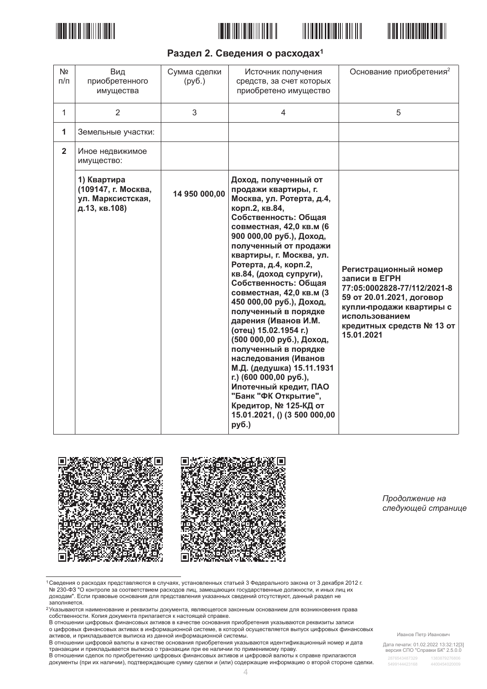







### Раздел 2. Сведения о расходах<sup>1</sup>

| N <sub>2</sub><br>$\Pi/\Pi$ | Вид<br>приобретенного<br>имущества                                       | Сумма сделки<br>(py6.) | Источник получения<br>средств, за счет которых<br>приобретено имущество                                                                                                                                                                                                                                                                                                                                                                                                                                                                                                                                                                                                                              | Основание приобретения <sup>2</sup>                                                                                                                                                         |
|-----------------------------|--------------------------------------------------------------------------|------------------------|------------------------------------------------------------------------------------------------------------------------------------------------------------------------------------------------------------------------------------------------------------------------------------------------------------------------------------------------------------------------------------------------------------------------------------------------------------------------------------------------------------------------------------------------------------------------------------------------------------------------------------------------------------------------------------------------------|---------------------------------------------------------------------------------------------------------------------------------------------------------------------------------------------|
| $\mathbf{1}$                | $\overline{2}$                                                           | 3                      | 4                                                                                                                                                                                                                                                                                                                                                                                                                                                                                                                                                                                                                                                                                                    | 5                                                                                                                                                                                           |
| $\mathbf{1}$                | Земельные участки:                                                       |                        |                                                                                                                                                                                                                                                                                                                                                                                                                                                                                                                                                                                                                                                                                                      |                                                                                                                                                                                             |
| $\overline{2}$              | Иное недвижимое<br>имущество:                                            |                        |                                                                                                                                                                                                                                                                                                                                                                                                                                                                                                                                                                                                                                                                                                      |                                                                                                                                                                                             |
|                             | 1) Квартира<br>(109147, г. Москва,<br>ул. Марксистская,<br>д.13, кв.108) | 14 950 000,00          | Доход, полученный от<br>продажи квартиры, г.<br>Москва, ул. Ротерта, д.4,<br>корп.2, кв.84,<br>Собственность: Общая<br>совместная, 42,0 кв.м (6<br>900 000,00 руб.), Доход,<br>полученный от продажи<br>квартиры, г. Москва, ул.<br>Ротерта, д.4, корп.2,<br>кв.84, (доход супруги),<br>Собственность: Общая<br>совместная, 42,0 кв.м (3<br>450 000,00 руб.), Доход,<br>полученный в порядке<br>дарения (Иванов И.М.<br>(отец) 15.02.1954 г.)<br>(500 000,00 руб.), Доход,<br>полученный в порядке<br>наследования (Иванов<br>М.Д. (дедушка) 15.11.1931<br>г.) (600 000,00 руб.),<br>Ипотечный кредит, ПАО<br>"Банк "ФК Открытие",<br>Кредитор, № 125-КД от<br>15.01.2021, () (3 500 000,00<br>руб.) | Регистрационный номер<br>записи в ЕГРН<br>77:05:0002828-77/112/2021-8<br>59 от 20.01.2021, договор<br>купли-продажи квартиры с<br>использованием<br>кредитных средств № 13 от<br>15.01.2021 |



Продолжение на следующей странице

1 Сведения о расходах представляются в случаях, установленных статьей 3 Федерального закона от 3 декабря 2012 г. № 230-ФЗ "О контроле за соответствием расходов лиц, замещающих государственные должности, и иных лиц их доходам". Если правовые основания для представления указанных сведений отсутствуют, данный раздел не

доплняется.<br>Заполняется.<br><sup>2</sup>Указываются наименование и реквизиты документа, являющегося законным основанием для возникновения права<br>собственности. Копия документа прилагается к настоящей справке.

в отношении цифровых финансовых активов в качестве основания приобретения указываются реквизиты записи о цифровых финансовых активах в информационной системе, в которой осуществляется выпуск цифровых финансовых

о дикретели финансовых активом отношения и положительной системы.<br>В отношении цифровой валюты в качестве основания приобретения указываются идентификационный номер и дата и отношении сделок по применять на поставлении при ее наличии по применимому праву.<br>В отношении сделок по приобретению цифровых финансовых активов и цифровой валюты к справке прилагаются

документы (при их наличии), подтверждающие сумму сделки и (или) содержащие информацию о второй стороне сделки.

Дата печати: 01.02.2022 13:32:12[3]<br>версия СПО "Справки БК" 2.5.0.0 1383879276806

Иванов Петр Иванович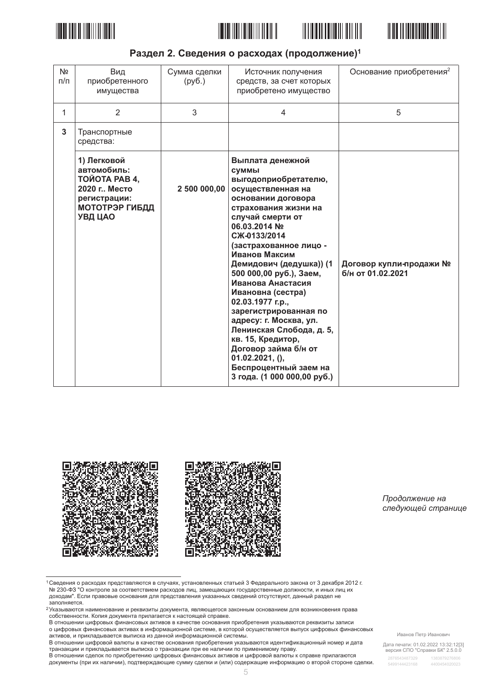







### Раздел 2. Сведения о расходах (продолжение)<sup>1</sup>

| N <sub>2</sub><br>$\Pi/\Pi$ | Вид<br>приобретенного<br>имущества                                                                                | Сумма сделки<br>(py6.) | Источник получения<br>средств, за счет которых<br>приобретено имущество                                                                                                                                                                                                                                                                                                                                                                                                                                                                                   | Основание приобретения <sup>2</sup>          |
|-----------------------------|-------------------------------------------------------------------------------------------------------------------|------------------------|-----------------------------------------------------------------------------------------------------------------------------------------------------------------------------------------------------------------------------------------------------------------------------------------------------------------------------------------------------------------------------------------------------------------------------------------------------------------------------------------------------------------------------------------------------------|----------------------------------------------|
| 1                           | 2                                                                                                                 | 3                      | 4                                                                                                                                                                                                                                                                                                                                                                                                                                                                                                                                                         | 5                                            |
| 3                           | Транспортные<br>средства:                                                                                         |                        |                                                                                                                                                                                                                                                                                                                                                                                                                                                                                                                                                           |                                              |
|                             | 1) Легковой<br>автомобиль:<br>TOЙOTA PAB 4,<br>2020 г., Место<br>регистрации:<br><b>МОТОТРЭР ГИБДД</b><br>УВД ЦАО | 2 500 000,00           | Выплата денежной<br><b>СУММЫ</b><br>выгодоприобретателю,<br>осуществленная на<br>основании договора<br>страхования жизни на<br>случай смерти от<br>06.03.2014 Nº<br>CЖ-0133/2014<br>(застрахованное лицо -<br>Иванов Максим<br>Демидович (дедушка)) (1<br>500 000,00 руб.), Заем,<br>Иванова Анастасия<br>Ивановна (сестра)<br>02.03.1977 г.р.,<br>зарегистрированная по<br>адресу: г. Москва, ул.<br>Ленинская Слобода, д. 5,<br>кв. 15, Кредитор,<br>Договор займа б/н от<br>$01.02.2021, ()$ ,<br>Беспроцентный заем на<br>3 года. (1 000 000,00 руб.) | Договор купли-продажи №<br>б/н от 01.02.2021 |



Продолжение на следующей странице

1 Сведения о расходах представляются в случаях, установленных статьей 3 Федерального закона от 3 декабря 2012 г. № 230-ФЗ "О контроле за соответствием расходов лиц, замещающих государственные должности, и иных лиц их доходам". Если правовые основания для представления указанных сведений отсутствуют, данный раздел не

в отношении цифровых финансовых активов в качестве основания приобретения указываются реквизиты записи о цифровых финансовых активах в информационной системе, в которой осуществляется выпуск цифровых финансовых

о дикретели финансовых активах в инфермационной системы.<br>В отношении цифровой валюты в качестве основания приобретения указываются идентификационный номер и дата и отношении сделок по применять на поставлении при ее наличии по применимому праву.<br>В отношении сделок по приобретению цифровых финансовых активов и цифровой валюты к справке прилагаются

документы (при их наличии), подтверждающие сумму сделки и (или) содержащие информацию о второй стороне сделки.

Иванов Петр Иванович

Дата печати: 01.02.2022 13:32:12[3]<br>версия СПО "Справки БК" 2.5.0.0

доплняется.<br>Заполняется.<br><sup>2</sup>Указываются наименование и реквизиты документа, являющегося законным основанием для возникновения права<br>собственности. Копия документа прилагается к настоящей справке.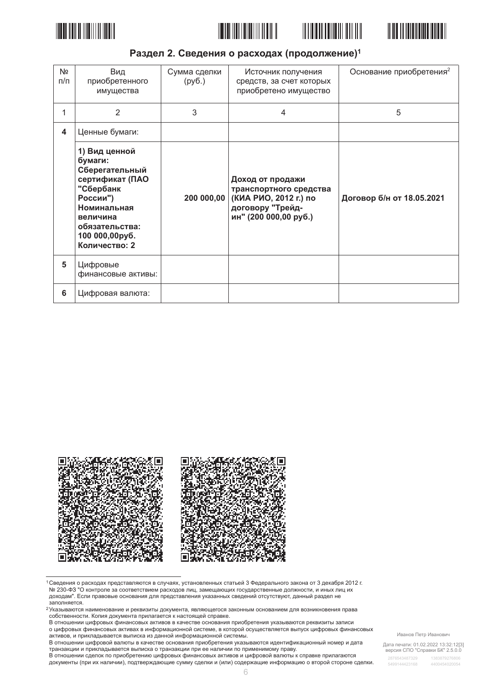







### Раздел 2. Сведения о расходах (продолжение)<sup>1</sup>

| Nº<br>$\Pi/\Pi$ | Вид<br>приобретенного<br>имущества                                                                                                                                     | Сумма сделки<br>(py6.) | Источник получения<br>средств, за счет которых<br>приобретено имущество                                          | Основание приобретения <sup>2</sup> |
|-----------------|------------------------------------------------------------------------------------------------------------------------------------------------------------------------|------------------------|------------------------------------------------------------------------------------------------------------------|-------------------------------------|
| 1               | 2                                                                                                                                                                      | 3                      | 4                                                                                                                | 5                                   |
| 4               | Ценные бумаги:                                                                                                                                                         |                        |                                                                                                                  |                                     |
|                 | 1) Вид ценной<br>бумаги:<br>Сберегательный<br>сертификат (ПАО<br>"Сбербанк<br>России")<br>Номинальная<br>величина<br>обязательства:<br>100 000,00руб.<br>Количество: 2 | 200 000,00             | Доход от продажи<br>транспортного средства<br>(КИА РИО, 2012 г.) по<br>договору "Трейд-<br>ин" (200 000,00 руб.) | Договор б/н от 18.05.2021           |
| 5               | Цифровые<br>финансовые активы:                                                                                                                                         |                        |                                                                                                                  |                                     |
| 6               | Цифровая валюта:                                                                                                                                                       |                        |                                                                                                                  |                                     |



1 Сведения о расходах представляются в случаях, установленных статьей 3 Федерального закона от 3 декабря 2012 г. № 230-ФЗ "О контроле за соответствием расходов лиц, замещающих государственные должности, и иных лиц их доходам". Если правовые основания для представления указанных сведений отсутствуют, данный раздел не

доплняется.<br>Заполняется.<br><sup>2</sup>Указываются наименование и реквизиты документа, являющегося законным основанием для возникновения права<br>собственности. Копия документа прилагается к настоящей справке.

в отношении цифровых финансовых активов в качестве основания приобретения указываются реквизиты записи о цифровых финансовых активах в информационной системе, в которой осуществляется выпуск цифровых финансовых о дикретели финансовых активах в инфермационной системы.<br>В отношении цифровой валюты в качестве основания приобретения указываются идентификационный номер и дата

и отношении сделок по применять на поставлении при ее наличии по применимому праву.<br>В отношении сделок по приобретению цифровых финансовых активов и цифровой валюты к справке прилагаются

документы (при их наличии), подтверждающие сумму сделки и (или) содержащие информацию о второй стороне сделки.

Иванов Петр Иванович

Дата печати: 01.02.2022 13:32:12[3]<br>версия СПО "Справки БК" 2.5.0.0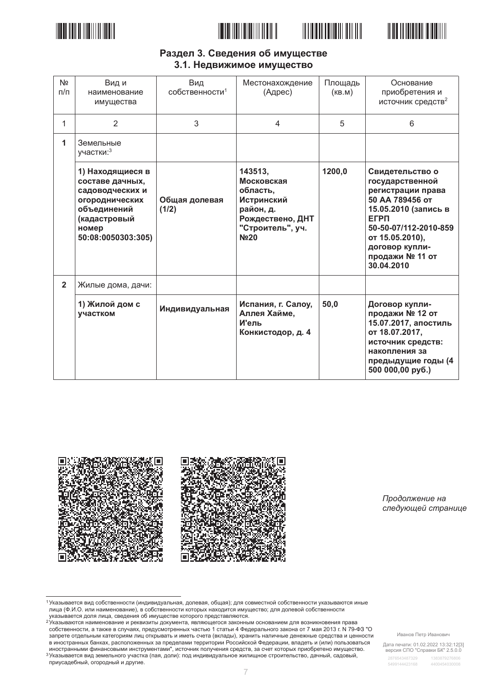





### Раздел 3. Сведения об имуществе 3.1. Недвижимое имущество

| N <sub>2</sub><br>$\pi/\pi$ | Вид и<br>наименование<br>имущества                                                                                                     | Вид<br>собственности <sup>1</sup> | Местонахождение<br>(Адрес)                                                                                                            | Площадь<br>(KB.M) | Основание<br>приобретения и<br>источник средств <sup>2</sup>                                                                                                                                                     |
|-----------------------------|----------------------------------------------------------------------------------------------------------------------------------------|-----------------------------------|---------------------------------------------------------------------------------------------------------------------------------------|-------------------|------------------------------------------------------------------------------------------------------------------------------------------------------------------------------------------------------------------|
| 1                           | 2                                                                                                                                      | 3                                 | 4                                                                                                                                     | 5                 | 6                                                                                                                                                                                                                |
| 1                           | Земельные<br>участки: 3                                                                                                                |                                   |                                                                                                                                       |                   |                                                                                                                                                                                                                  |
|                             | 1) Находящиеся в<br>составе дачных,<br>садоводческих и<br>огороднических<br>объединений<br>(кадастровый<br>номер<br>50:08:0050303:305) | Общая долевая<br>(1/2)            | 143513,<br>Московская<br>область,<br><b>Истринский</b><br>район, д.<br>Рождествено, ДНТ<br>"Строитель", уч.<br><b>N</b> <sup>20</sup> | 1200,0            | Свидетельство о<br>государственной<br>регистрации права<br>50 AA 789456 OT<br>15.05.2010 (запись в<br><b>EFPN</b><br>50-50-07/112-2010-859<br>от 15.05.2010),<br>договор купли-<br>продажи № 11 от<br>30.04.2010 |
| $\mathbf{2}$                | Жилые дома, дачи:                                                                                                                      |                                   |                                                                                                                                       |                   |                                                                                                                                                                                                                  |
|                             | 1) Жилой дом с<br>участком                                                                                                             | Индивидуальная                    | Испания, г. Салоу,<br>Аллея Хайме,<br>И'ель<br>Конкистодор, д. 4                                                                      | 50,0              | Договор купли-<br>продажи № 12 от<br>15.07.2017, апостиль<br>от 18.07.2017,<br>источник средств:<br>накопления за<br>предыдущие годы (4<br>500 000,00 py6.)                                                      |



Продолжение на следующей странице

1 Указывается вид собственности (индивидуальная, долевая, общая); для совместной собственности указываются иные лица (Ф.И.О. или наименование), в собственности которых находится имущество; для долевой собственности<br>указывается доля лица, сведения об имуществе которого представляются.

уменности произведа с не и полности с с не и произведения с представительного и при принять с делать с делать<br>Указываются наименование и реквизиты документа, являющегося законным основанием для возникновения права собственности, а также в случаях, предусмотренных частью 1 статьи 4 Федерального закона от 7 мая 2013 г. № 79-ФЗ "О запрете отдельным категориям лиц открывать и иметь счета (вклады), хранить наличные денежные средства и ценности в иностранных банках, расположенных за пределами территории Российской Федерации, владеть и (или) пользоваться иностранными финансовыми инструментами", источник получения средств, за счет которых приобретено имущество.<br>3Указывается вид земельного участка (пая, доли): под индивидуальное жилищное строительство, дачный, садовый,

приусадебный, огородный и другие.

Иванов Петр Иванович

Дата печати: 01.02.2022 13:32:12[3]<br>версия СПО "Справки БК" 2.5.0.0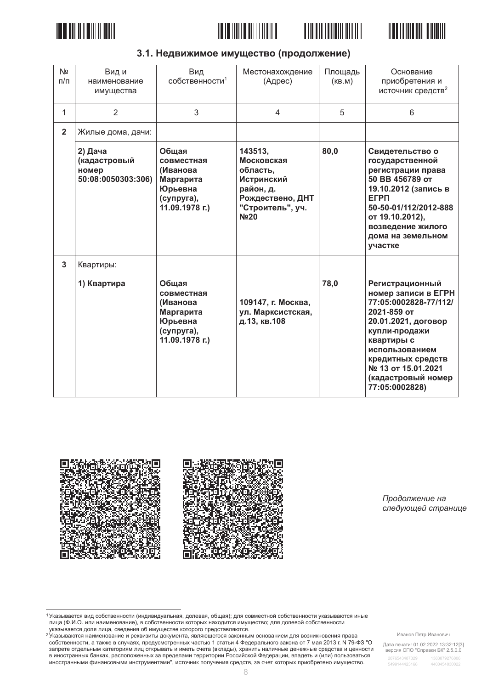







| N <sub>2</sub><br>$\pi/\pi$ | Вид и<br>наименование<br>имущества                     | Вид<br>собственности <sup>1</sup>                                                       | Местонахождение<br>(Адрес)                                                                                                 | Площадь<br>(KB.M) | Основание<br>приобретения и<br>источник средств <sup>2</sup>                                                                                                                                                                              |
|-----------------------------|--------------------------------------------------------|-----------------------------------------------------------------------------------------|----------------------------------------------------------------------------------------------------------------------------|-------------------|-------------------------------------------------------------------------------------------------------------------------------------------------------------------------------------------------------------------------------------------|
| 1                           | $\overline{2}$                                         | 3                                                                                       | $\overline{4}$                                                                                                             | 5                 | 6                                                                                                                                                                                                                                         |
| $\overline{2}$              | Жилые дома, дачи:                                      |                                                                                         |                                                                                                                            |                   |                                                                                                                                                                                                                                           |
|                             | 2) Дача<br>(кадастровый<br>номер<br>50:08:0050303:306) | Общая<br>совместная<br>(Иванова<br>Маргарита<br>Юрьевна<br>(супруга),<br>11.09.1978 г.) | 143513,<br>Московская<br>область,<br><b>Истринский</b><br>район, д.<br>Рождествено, ДНТ<br>"Строитель", уч.<br><b>No20</b> | 80,0              | Свидетельство о<br>государственной<br>регистрации права<br>50 BB 456789 OT<br>19.10.2012 (запись в<br><b>EFPN</b><br>50-50-01/112/2012-888<br>от 19.10.2012),<br>возведение жилого<br>дома на земельном<br>участке                        |
| $\overline{3}$              | Квартиры:                                              |                                                                                         |                                                                                                                            |                   |                                                                                                                                                                                                                                           |
|                             | 1) Квартира                                            | Общая<br>совместная<br>(Иванова<br>Маргарита<br>Юрьевна<br>(супруга),<br>11.09.1978 г.) | 109147, г. Москва,<br>ул. Марксистская,<br>д.13, кв.108                                                                    | 78,0              | Регистрационный<br>номер записи в ЕГРН<br>77:05:0002828-77/112/<br>2021-859 от<br>20.01.2021, договор<br>купли-продажи<br>квартиры с<br>использованием<br>кредитных средств<br>№ 13 от 15.01.2021<br>(кадастровый номер<br>77:05:0002828) |



Продолжение на следующей странице

<sup>1</sup> Указывается вид собственности (индивидуальная, долевая, общая); для совместной собственности указываются иные лица (Ф.И.О. или наименование), в собственности которых находится имущество; для долевой собственности лица (Ф.И.О. или наименование), в собственности которых находится имущество; для долевой собственности има, телеси доля лица, сведения об имуществе которого представляются.<br>Указывается доля лица, сведения об имуществе которого представляются.<br><sup>2</sup>Указываются наименование и реквизиты документа, являющегося законным основание

собственности, а также в случаях, предусмотренных частью 1 статьи 4 Федерального закона от 7 мая 2013 г. № 79-ФЗ "О запрете отдельным категориям лиц открывать и иметь счета (вклады), хранить наличные денежные средства и ценности<br>в иностранных банках, расположенных за пределами территории Российской Федерации, владеть и (или) пользовать иностранными финансовыми инструментами", источник получения средств, за счет которых приобретено имущество.

Иванов Петр Иванович

Дата печати: 01.02.2022 13:32:12[3]<br>версия СПО "Справки БК" 2.5.0.0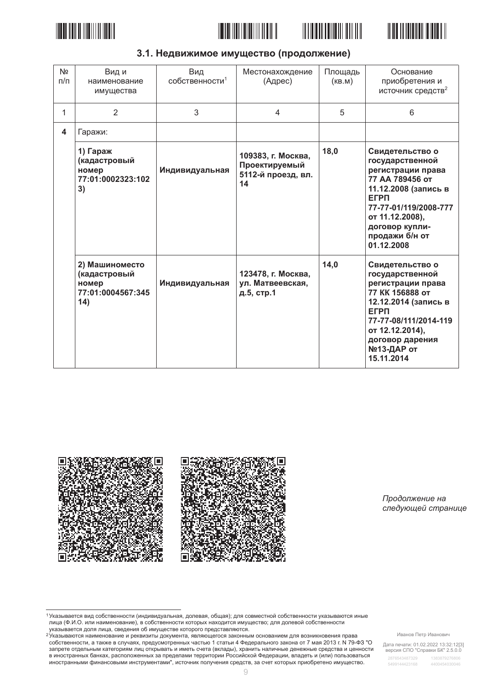







| 3.1. Недвижимое имущество (продолжение) |  |  |
|-----------------------------------------|--|--|
|-----------------------------------------|--|--|

| N <sub>2</sub><br>$\pi/\pi$ | Вид и<br>наименование<br>имущества                                  | Вид<br>собственности <sup>1</sup> | Местонахождение<br>(Адрес)                                      | Площадь<br>(KB.M) | Основание<br>приобретения и<br>источник средств <sup>2</sup>                                                                                                                                                    |
|-----------------------------|---------------------------------------------------------------------|-----------------------------------|-----------------------------------------------------------------|-------------------|-----------------------------------------------------------------------------------------------------------------------------------------------------------------------------------------------------------------|
| 1                           | 2                                                                   | 3                                 | 4                                                               | 5                 | 6                                                                                                                                                                                                               |
| 4                           | Гаражи:                                                             |                                   |                                                                 |                   |                                                                                                                                                                                                                 |
|                             | 1) Гараж<br>(кадастровый<br>номер<br>77:01:0002323:102<br>3)        | Индивидуальная                    | 109383, г. Москва,<br>Проектируемый<br>5112-й проезд, вл.<br>14 | 18,0              | Свидетельство о<br>государственной<br>регистрации права<br>77 АА 789456 от<br>11.12.2008 (запись в<br><b>EFPN</b><br>77-77-01/119/2008-777<br>от 11.12.2008),<br>договор купли-<br>продажи б/н от<br>01.12.2008 |
|                             | 2) Машиноместо<br>(кадастровый<br>номер<br>77:01:0004567:345<br>14) | Индивидуальная                    | 123478, г. Москва,<br>ул. Матвеевская,<br>д.5, стр.1            | 14,0              | Свидетельство о<br>государственной<br>регистрации права<br>77 KK 156888 OT<br>12.12.2014 (запись в<br><b>EFPN</b><br>77-77-08/111/2014-119<br>от 12.12.2014),<br>договор дарения<br>№13-ДАР от<br>15.11.2014    |



Продолжение на следующей странице

<sup>1</sup> Указывается вид собственности (индивидуальная, долевая, общая); для совместной собственности указываются иные лица (Ф.И.О. или наименование), в собственности которых находится имущество; для долевой собственности лица (Ф.И.О. или наименование), в собственности которых находится имущество; для долевой собственности

има, телеси доля лица, сведения об имуществе которого представляются.<br>Указывается доля лица, сведения об имуществе которого представляются.<br><sup>2</sup>Указываются наименование и реквизиты документа, являющегося законным основание иностранными финансовыми инструментами", источник получения средств, за счет которых приобретено имущество.

Дата печати: 01.02.2022 13:32:12[3]<br>версия СПО "Справки БК" 2.5.0.0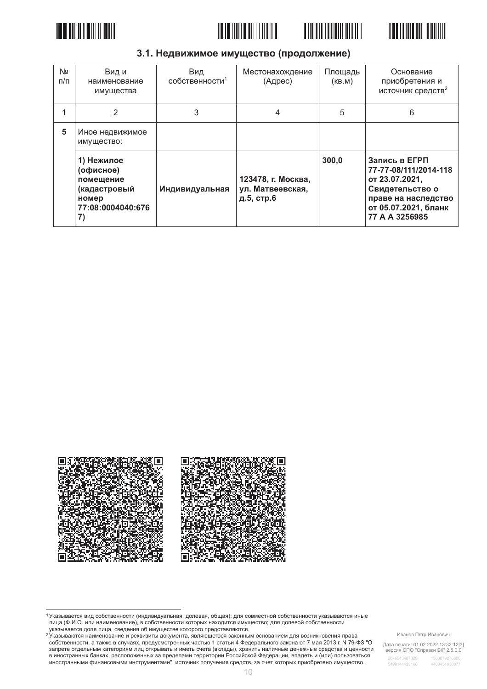







### 3.1. Недвижимое имущество (продолжение)

| N <sub>2</sub><br>$\Pi/\Pi$ | Вид и<br>наименование<br>имущества                                                       | Вид<br>$\overline{C}$ Обственности <sup>1</sup> | Местонахождение<br>(Адрес)                           | Площадь<br>(KB.M) | Основание<br>приобретения и<br>источник средств <sup>2</sup>                                                                                 |
|-----------------------------|------------------------------------------------------------------------------------------|-------------------------------------------------|------------------------------------------------------|-------------------|----------------------------------------------------------------------------------------------------------------------------------------------|
|                             | 2                                                                                        | 3                                               | 4                                                    | 5                 | 6                                                                                                                                            |
| 5                           | Иное недвижимое<br>имущество:                                                            |                                                 |                                                      |                   |                                                                                                                                              |
|                             | 1) Нежилое<br>(офисное)<br>помещение<br>(кадастровый<br>номер<br>77:08:0004040:676<br>7) | Индивидуальная                                  | 123478, г. Москва,<br>ул. Матвеевская,<br>д.5, стр.6 | 300,0             | Запись в ЕГРП<br>77-77-08/111/2014-118<br>от 23.07.2021,<br>Свидетельство о<br>праве на наследство<br>от 05.07.2021, бланк<br>77 A A 3256985 |



<sup>1</sup> Указывается вид собственности (индивидуальная, долевая, общая); для совместной собственности указываются иные лица (Ф.И.О. или наименование), в собственности которых находится имущество; для долевой собственности лица (Ф.И.О. или наименование), в собственности которых находится имущество; для долевой собственности има, телеси доля лица, сведения об имуществе которого представляются.<br>Указывается доля лица, сведения об имуществе которого представляются.<br><sup>2</sup>Указываются наименование и реквизиты документа, являющегося законным основание

собственности, а также в случаях, предусмотренных частью 1 статьи 4 Федерального закона от 7 мая 2013 г. № 79-ФЗ "О запрете отдельным категориям лиц открывать и иметь счета (вклады), хранить наличные денежные средства и ценности в иностранных банках, расположенных за пределами территории Российской Федерации, владеть и (или) пользоваться иностранными финансовыми инструментами", источник получения средств, за счет которых приобретено имущество.

Иванов Петр Иванович

Дата печати: 01.02.2022 13:32:12[3]<br>версия СПО "Справки БК" 2.5.0.0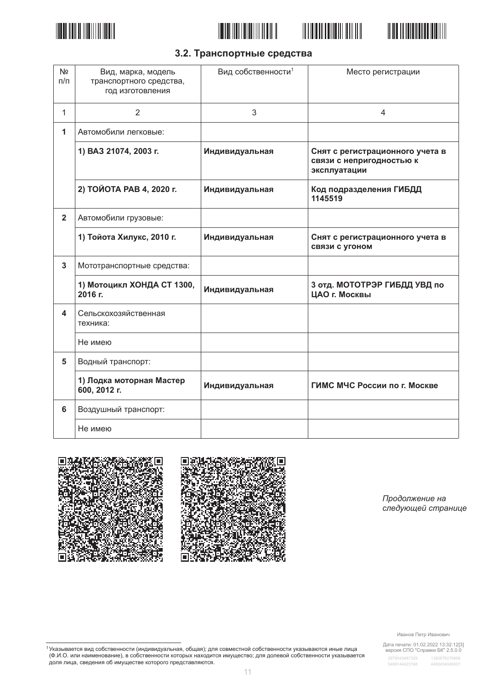







# 3.2. Транспортные средства

| N <sub>2</sub><br>$\Box/\Box$ | Вид, марка, модель<br>транспортного средства,<br>год изготовления | Вид собственности <sup>1</sup> | Место регистрации                                                           |
|-------------------------------|-------------------------------------------------------------------|--------------------------------|-----------------------------------------------------------------------------|
| 1                             | 2                                                                 | 3                              | 4                                                                           |
| 1                             | Автомобили легковые:                                              |                                |                                                                             |
|                               | 1) ВАЗ 21074, 2003 г.                                             | Индивидуальная                 | Снят с регистрационного учета в<br>связи с непригодностью к<br>эксплуатации |
|                               | 2) ТОЙОТА РАВ 4, 2020 г.                                          | Индивидуальная                 | Код подразделения ГИБДД<br>1145519                                          |
| $\mathbf{2}$                  | Автомобили грузовые:                                              |                                |                                                                             |
|                               | 1) Тойота Хилукс, 2010 г.                                         | Индивидуальная                 | Снят с регистрационного учета в<br>связи с угоном                           |
| 3                             | Мототранспортные средства:                                        |                                |                                                                             |
|                               | 1) Мотоцикл ХОНДА СТ 1300,<br>2016 г.                             | Индивидуальная                 | 3 отд. МОТОТРЭР ГИБДД УВД по<br>ЦАО г. Москвы                               |
| 4                             | Сельскохозяйственная<br>техника:                                  |                                |                                                                             |
|                               | Не имею                                                           |                                |                                                                             |
| 5                             | Водный транспорт:                                                 |                                |                                                                             |
|                               | 1) Лодка моторная Мастер<br>600, 2012 г.                          | Индивидуальная                 | ГИМС МЧС России по г. Москве                                                |
| 6                             | Воздушный транспорт:                                              |                                |                                                                             |
|                               | Не имею                                                           |                                |                                                                             |





Продолжение на следующей странице

Иванов Петр Иванович

Дата печати: 01.02.2022 13:32:12[3]<br>версия СПО "Справки БК" 2.5.0.0

2876543487329 5499144423168 4400454040007

<sup>1</sup> Указывается вид собственности (индивидуальная, общая); для совместной собственности указываются иные лица<br>(Ф.И.О. или наименование), в собственности которых находится имущество; для долевой собственности указывается<br>д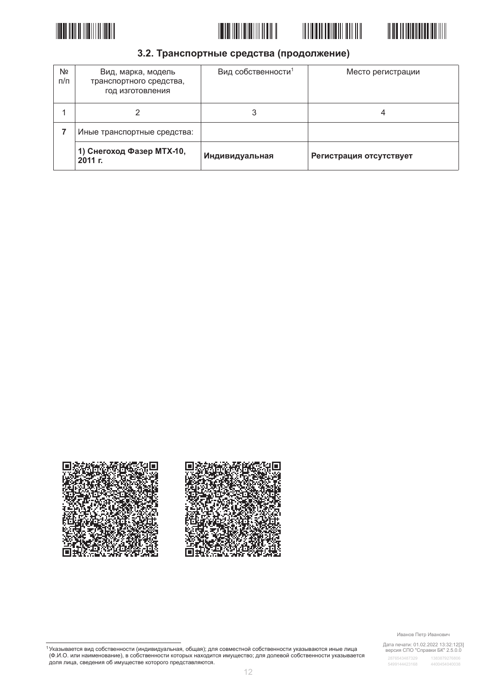







### 3.2. Транспортные средства (продолжение)

| Nº<br>п/п | Вид, марка, модель<br>транспортного средства,<br>год изготовления | Вид собственности <sup>1</sup> | Место регистрации       |
|-----------|-------------------------------------------------------------------|--------------------------------|-------------------------|
|           |                                                                   |                                | 4                       |
|           | Иные транспортные средства:                                       |                                |                         |
|           | 1) Снегоход Фазер МТХ-10,<br>2011 F.                              | Индивидуальная                 | Регистрация отсутствует |



Иванов Петр Иванович

Дата печати: 01.02.2022 13:32:12[3]<br>версия СПО "Справки БК" 2.5.0.0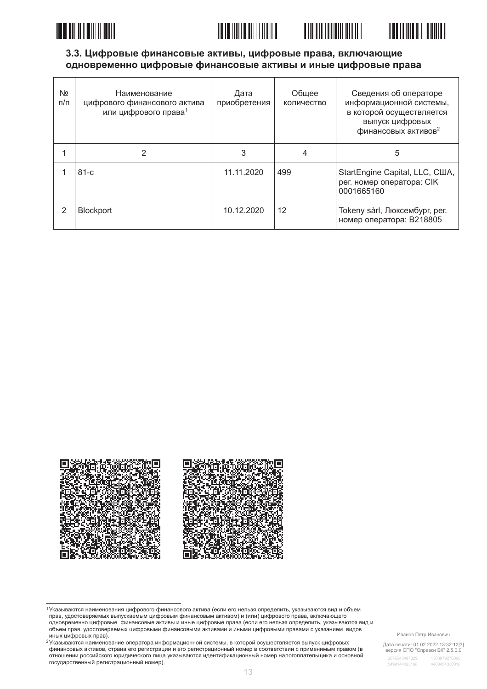





| N <sub>2</sub><br>$\pi/\pi$ | Наименование<br>цифрового финансового актива<br>или цифрового права <sup>1</sup> | Дата<br>приобретения | Обшее<br>количество | Сведения об операторе<br>информационной системы,<br>в которой осуществляется<br>выпуск цифровых<br>финансовых активов <sup>2</sup> |
|-----------------------------|----------------------------------------------------------------------------------|----------------------|---------------------|------------------------------------------------------------------------------------------------------------------------------------|
|                             | 2                                                                                | 3                    | 4                   | 5                                                                                                                                  |
|                             | $81-c$                                                                           | 11.11.2020           | 499                 | StartEngine Capital, LLC, США,<br>рег. номер оператора: CIK<br>0001665160                                                          |
| 2                           | <b>Blockport</b>                                                                 | 10.12.2020           | 12                  | Tokeny sàrl, Люксембург, рег.<br>номер оператора: В218805                                                                          |



1 Указываются наименования цифрового финансового актива (если его нельзя определить, указываются вид и объем<br>прав, удостоверяемых выпускаемым цифровым финансовым активом) и (или) цифрового права, включающего правления представительности и правительности и правительности и последниками и представить и последниками с с<br>В представительно дифровые финансовые активы и иные цифровые права (если его нельзя определить, указываются ви объем прав, удостоверяемых цифровыми финансовыми активами и иными цифровыми правами с указанием видов иных цифровых прав).

<sup>2</sup> Указываются наименование оператора информационной системы, в которой осуществляется выпуск цифровых финансовых активов, страна его регистрации и его регистрационный номер в соответствии с применимым правом (в отношении российского юридического лица указываются идентификационный номер налогоплательщика и основной государственный регистрационный номер).

Иванов Петр Иванович

Дата печати: 01.02.2022 13:32:12[3]<br>версия СПО "Справки БК" 2.5.0.0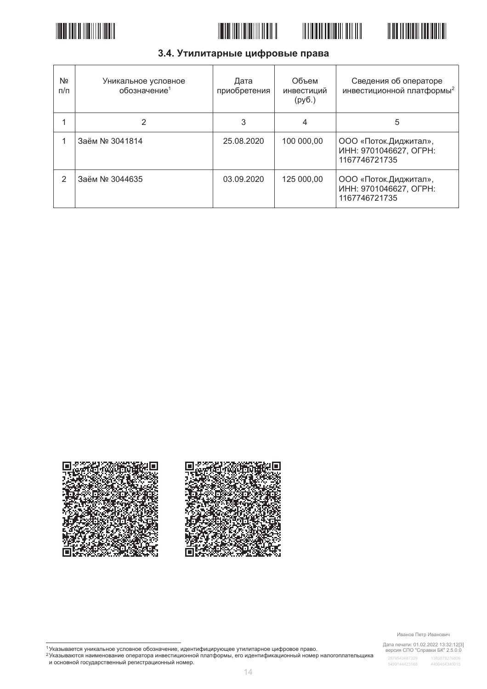







# 3.4. Утилитарные цифровые права

| Nº<br>п/п | Уникальное условное<br>обозначение <sup>1</sup> | Дата<br>приобретения | Объем<br>инвестиций<br>(py6.) | Сведения об операторе<br>инвестиционной платформы <sup>2</sup>    |
|-----------|-------------------------------------------------|----------------------|-------------------------------|-------------------------------------------------------------------|
|           | 2                                               | 3                    | 4                             | 5                                                                 |
|           | Заём № 3041814                                  | 25.08.2020           | 100 000,00                    | ООО «Поток. Диджитал»,<br>ИНН: 9701046627, ОГРН:<br>1167746721735 |
| 2         | Заём № 3044635                                  | 03.09.2020           | 125 000,00                    | ООО «Поток.Диджитал»,<br>ИНН: 9701046627, ОГРН:<br>1167746721735  |



#### Иванов Петр Иванович

Дата печати: 01.02.2022 13:32:12[3]<br>версия СПО "Справки БК" 2.5.0.0

<sup>&</sup>lt;sup>1</sup>Указывается уникальное условное обозначение, идентифицирующее утилитарное цифровое право.<br><sup>2</sup>Указываются наименование оператора инвестиционной платформы, его идентификационный номер налогоплательщика<br>и основной государ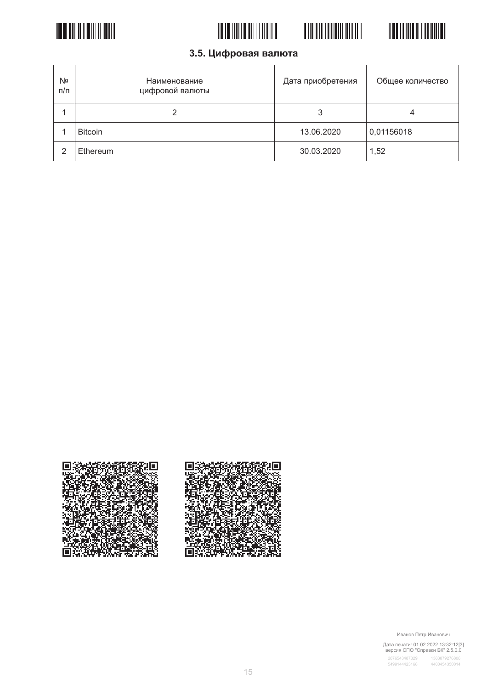





3.5. Цифровая валюта

| Nº<br>п/п | Наименование<br>цифровой валюты | Дата приобретения | Общее количество |
|-----------|---------------------------------|-------------------|------------------|
|           |                                 |                   | 4                |
|           | <b>Bitcoin</b>                  | 13.06.2020        | 0,01156018       |
| っ         | Ethereum                        | 30.03.2020        | 1,52             |



Иванов Петр Иванович

T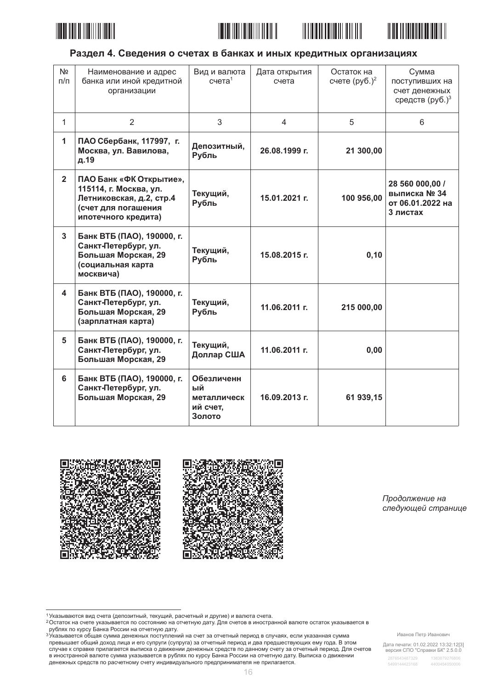







### Раздел 4. Сведения о счетах в банках и иных кредитных организациях

| N <sub>2</sub><br>$\Pi/\Pi$ | Наименование и адрес<br>банка или иной кредитной<br>организации                                                             | Вид и валюта<br>$c$ чета $1$                          | Дата открытия<br>счета | Остаток на<br>счете $(py6.)^2$ | Сумма<br>поступивших на<br>счет денежных<br>средств (руб.) <sup>3</sup> |
|-----------------------------|-----------------------------------------------------------------------------------------------------------------------------|-------------------------------------------------------|------------------------|--------------------------------|-------------------------------------------------------------------------|
| $\mathbf{1}$                | $\overline{2}$                                                                                                              | 3                                                     | $\overline{4}$         | 5                              | 6                                                                       |
| 1                           | ПАО Сбербанк, 117997, г.<br>Москва, ул. Вавилова,<br>д.19                                                                   | Депозитный,<br>Рубль                                  | 26.08.1999 г.          | 21 300,00                      |                                                                         |
| $\overline{2}$              | ПАО Банк «ФК Открытие»,<br>115114, г. Москва, ул.<br>Летниковская, д.2, стр.4<br>(счет для погашения<br>ипотечного кредита) | Текущий,<br>Рубль                                     | 15.01.2021 г.          | 100 956,00                     | 28 560 000,00 /<br>выписка № 34<br>от 06.01.2022 на<br>3 листах         |
| $\overline{3}$              | Банк ВТБ (ПАО), 190000, г.<br>Санкт-Петербург, ул.<br>Большая Морская, 29<br>(социальная карта<br>москвича)                 | Текущий,<br>Рубль                                     | 15.08.2015 г.          | 0, 10                          |                                                                         |
| 4                           | Банк ВТБ (ПАО), 190000, г.<br>Санкт-Петербург, ул.<br>Большая Морская, 29<br>(зарплатная карта)                             | Текущий,<br>Рубль                                     | 11.06.2011 г.          | 215 000,00                     |                                                                         |
| 5                           | Банк ВТБ (ПАО), 190000, г.<br>Санкт-Петербург, ул.<br>Большая Морская, 29                                                   | Текущий,<br>Доллар США                                | 11.06.2011 г.          | 0,00                           |                                                                         |
| 6                           | Банк ВТБ (ПАО), 190000, г.<br>Санкт-Петербург, ул.<br>Большая Морская, 29                                                   | Обезличенн<br>ый<br>металлическ<br>ий счет,<br>Золото | 16.09.2013 г.          | 61 939,15                      |                                                                         |



Продолжение на следующей странице

Иванов Петр Иванович

Дата печати: 01.02.2022 13:32:12[3]<br>версия СПО "Справки БК" 2.5.0.0

<sup>1</sup> Указываются вид счета (депозитный, текущий, расчетный и другие) и валюта счета.

о отношения с не примерения и состоянию на отчетную дату. Для счетов в иностранной валюте остаток указывается в<br>Ростаток на счете указывается по состоянию на отчетную дату. Для счетов в иностранной валюте остаток указывае оматок на ответите дату. Для основе и постранной вании в сего и постранной вании остаток указыва.<br>В ублях по курсу Банка России на отчетную дату.<br><sup>3</sup> Указывается общая сумма денежных поступлений на счет за отчетный период

превышает общий доход лица и его супруги (супруга) за отчетный период и два предшествующих ему года. В этом просышает сощил досод лица и сто супруги (супруга) за отчетным период и два предалеет от редиктной период. Для<br>В иностранной валюте сумма указывается в рублях по курсу Банка России на отчетную дату. Выписка о движении в денежных средств по расчетному счету индивидуального предпринимателя не прилагается.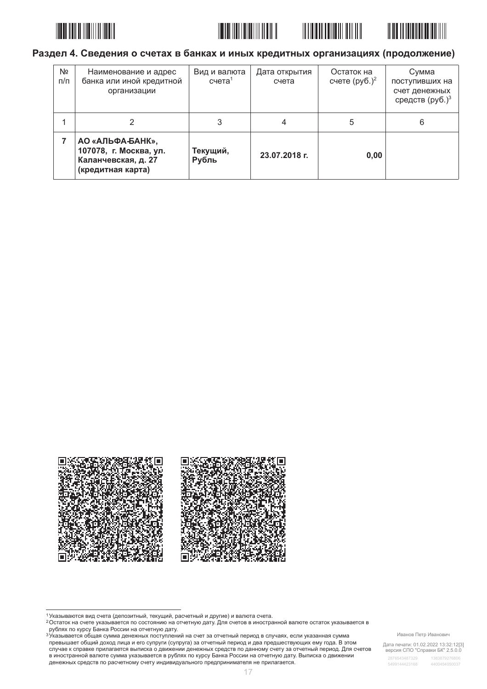







### Раздел 4. Сведения о счетах в банках и иных кредитных организациях (продолжение)

| Nº<br>$\pi/\pi$ | Наименование и адрес<br>банка или иной кредитной<br>организации                        | Вид и валюта<br>$c$ чета <sup>1</sup> | Дата открытия<br>счета | Остаток на<br>счете $(py6.)^2$ | Сумма<br>поступивших на<br>счет денежных<br>средств (руб.) <sup>3</sup> |
|-----------------|----------------------------------------------------------------------------------------|---------------------------------------|------------------------|--------------------------------|-------------------------------------------------------------------------|
|                 |                                                                                        | 3                                     | 4                      | 5                              | 6                                                                       |
|                 | АО «АЛЬФА-БАНК»,<br>107078, г. Москва, ул.<br>Каланчевская, д. 27<br>(кредитная карта) | Текущий,<br>Рубль                     | 23.07.2018 г.          | 0,00                           |                                                                         |



Иванов Петр Иванович

Дата печати: 01.02.2022 13:32:12[3]<br>версия СПО "Справки БК" 2.5.0.0

<sup>1</sup> Указываются вид счета (депозитный, текущий, расчетный и другие) и валюта счета.

о отношения с не примерения и состоянию на отчетную дату. Для счетов в иностранной валюте остаток указывается в<br>Ростаток на счете указывается по состоянию на отчетную дату. Для счетов в иностранной валюте остаток указывае оматок на ответите дату. Для основе и постранной вании в сего и постранной вании остаток указыва.<br>В ублях по курсу Банка России на отчетную дату.<br><sup>3</sup> Указывается общая сумма денежных поступлений на счет за отчетный период

превышает общий доход лица и его супруги (супруга) за отчетный период и два предшествующих ему года. В этом просышает сощил досод лица и сто супруги (супруга) за отчетным период и два предалеет от редиктной период. Для<br>В иностранной валюте сумма указывается в рублях по курсу Банка России на отчетную дату. Выписка о движении в денежных средств по расчетному счету индивидуального предпринимателя не прилагается.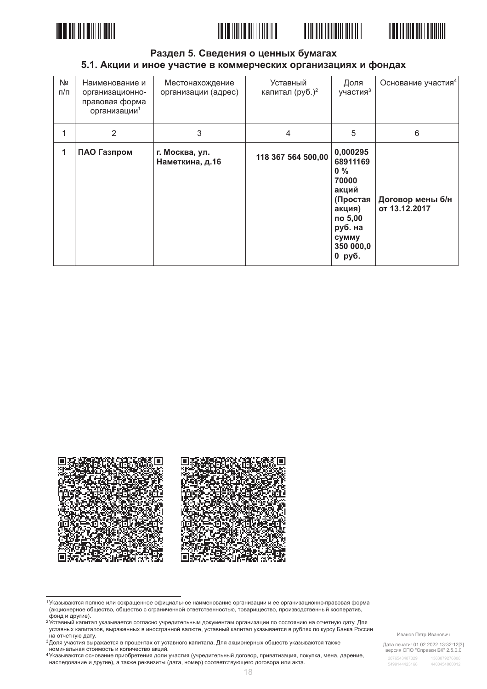





#### Раздел 5. Сведения о ценных бумагах 5.1. Акции и иное участие в коммерческих организациях и фондах

| N <sub>2</sub><br>$\Pi/\Pi$ | Наименование и<br>организационно-<br>правовая форма<br>организации <sup>1</sup> | Местонахождение<br>организации (адрес) | Уставный<br>капитал (руб.) <sup>2</sup> | Доля<br>участия <sup>3</sup>                                                                                                | Основание участия <sup>4</sup>    |
|-----------------------------|---------------------------------------------------------------------------------|----------------------------------------|-----------------------------------------|-----------------------------------------------------------------------------------------------------------------------------|-----------------------------------|
| 1                           | $\overline{2}$                                                                  | 3                                      | $\overline{4}$                          | 5                                                                                                                           | 6                                 |
| 1                           | ПАО Газпром                                                                     | г. Москва, ул.<br>Наметкина, д.16      | 118 367 564 500,00                      | 0,000295<br>68911169<br>$0\%$<br>70000<br>акций<br>(Простая<br>акция)<br>по 5,00<br>руб. на<br>сумму<br>350 000,0<br>0 руб. | Договор мены б/н<br>от 13.12.2017 |



<sup>1</sup> Указываются полное или сокращенное официальное наименование организации и ее организационно-правовая форма (акционерное общество, общество с ограниченной ответственностью, товарищество, производственный кооператив,<br>фонд и другие).

Иванов Петр Иванович

Дата печати: 01.02.2022 13:32:12[3]<br>версия СПО "Справки БК" 2.5.0.0

о ставный капитал указывается согласно учредительным документам организации по состоянию на отчетную дату. Для уставных капиталов, выраженных в иностранной валюте, уставный капитал указывается в рублях по курсу Банка России на отчетную дату.

<sup>&</sup>lt;sup>3</sup> Доля участия выражается в процентах от уставного капитала. Для акционерных обществ указываются также

доля у кастительных согластов пределяются и делалости.<br>номинальная стоимость и количество акций.<br><sup>4</sup> Указываются основание приобретения доли участия (учредительный договор, приватизация, покупка, мена, дарение, наследование и другие), а также реквизиты (дата, номер) соответствующего договора или акта.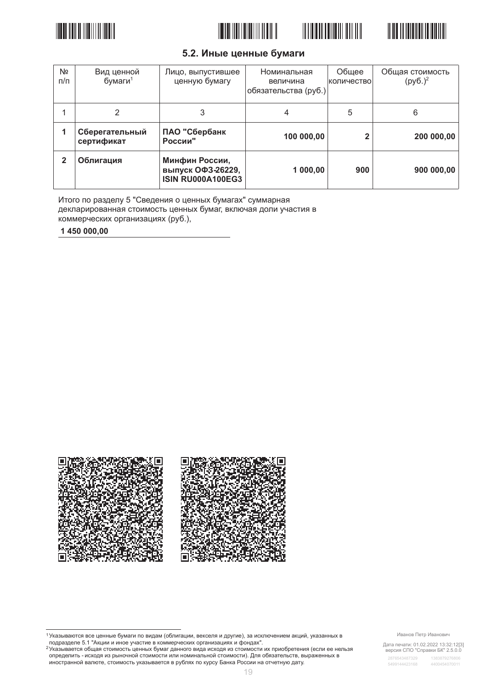







### 5.2. Иные ценные бумаги

| N <sub>2</sub><br>$\pi/\pi$ | Вид ценной<br>бумаги $1$     | Лицо, выпустившее<br>ценную бумагу                              | Номинальная<br>величина<br>обязательства (руб.) | Общее<br>количество | Общая стоимость<br>$(py6.)^2$ |
|-----------------------------|------------------------------|-----------------------------------------------------------------|-------------------------------------------------|---------------------|-------------------------------|
|                             | 2                            | 3                                                               | 4                                               | 5                   | 6                             |
|                             | Сберегательный<br>сертификат | ПАО "Сбербанк<br>России"                                        | 100 000,00                                      |                     | 200 000,00                    |
| $\mathbf{2}$                | Облигация                    | Минфин России,<br>выпуск ОФЗ-26229,<br><b>ISIN RU000A100EG3</b> | 1 000,00                                        | 900                 | 900 000,00                    |

Итого по разделу 5 "Сведения о ценных бумагах" суммарная декларированная стоимость ценных бумаг, включая доли участия в коммерческих организациях (руб.),

1450 000.00



2 Указывается общая стоимость ценных бумаг данного вида исходя из стоимости их приобретения (если ее нельзя определить - исходя из рыночной стоимости или номинальной стоимости). Для обязательств, выраженных в иностранной валюте, стоимость указывается в рублях по курсу Банка России на отчетную дату.

Иванов Петр Иванович

Дата печати: 01.02.2022 13:32:12[3]<br>версия СПО "Справки БК" 2.5.0.0

<sup>&</sup>lt;sup>1</sup> Указываются все ценные бумаги по видам (облигации, векселя и другие), за исключением акций, указанных в<br>подразделе 5.1 "Акции и иное участие в коммерческих организациях и фондах".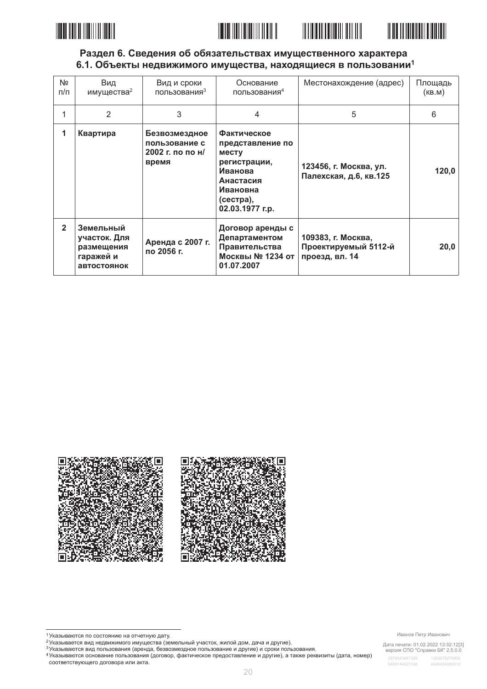





### Раздел 6. Сведения об обязательствах имущественного характера 6.1. Объекты недвижимого имущества, находящиеся в пользовании<sup>1</sup>

| N <sub>2</sub><br>$\pi/\pi$ | Вид<br>имущества <sup>2</sup>                                       | Вид и сроки<br>пользования <sup>3</sup>                     | Основание<br>пользования <sup>4</sup>                                                                                        | Местонахождение (адрес)                                      | Площадь<br>(KB.M) |
|-----------------------------|---------------------------------------------------------------------|-------------------------------------------------------------|------------------------------------------------------------------------------------------------------------------------------|--------------------------------------------------------------|-------------------|
| 1                           | 2                                                                   | 3                                                           | 4                                                                                                                            | 5                                                            | 6                 |
| 1                           | Квартира                                                            | Безвозмездное<br>пользование с<br>2002 г. по по н/<br>время | Фактическое<br>представление по<br>месту<br>регистрации,<br>Иванова<br>Анастасия<br>Ивановна<br>(сестра),<br>02.03.1977 г.р. | 123456, г. Москва, ул.<br>Палехская, д.6, кв.125             | 120,0             |
| $\overline{2}$              | Земельный<br>участок. Для<br>размещения<br>гаражей и<br>автостоянок | Аренда с 2007 г.<br>по 2056 г.                              | Договор аренды с<br>Департаментом<br>Правительства<br>Москвы № 1234 от<br>01.07.2007                                         | 109383, г. Москва,<br>Проектируемый 5112-й<br>проезд, вл. 14 | 20,0              |





г лавывается вид недвижимого имущества (земельный участок, жилой дом, дача и другие).

3 Указываются вид пользования (аренда, безвозмездное пользование и другие) и сроки пользования. 4 Указываются основание пользования (договор, фактическое предоставление и другие), а также реквизиты (дата, номер)

соответствующего договора или акта.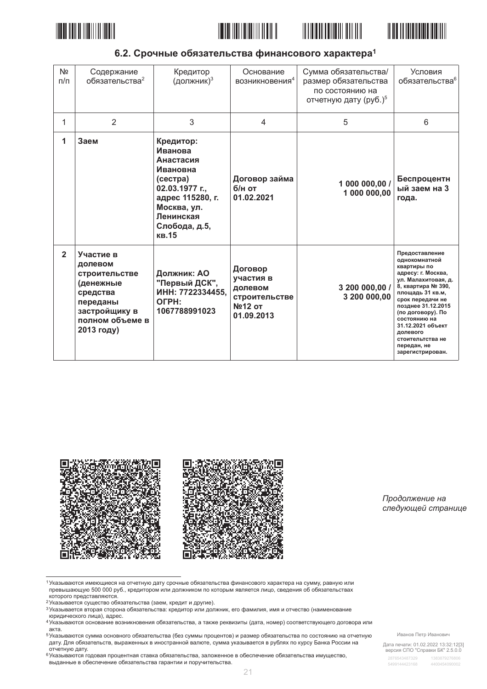







6.2. Срочные обязательства финансового характера<sup>1</sup>

| N <sub>2</sub><br>$\pi/\pi$ | Содержание<br>обязательства <sup>2</sup>                                                                                     | Кредитор<br>(должник) <sup>3</sup>                                                                                                                      | Основание<br>возникновения <sup>4</sup>                                  | Сумма обязательства/<br>размер обязательства<br>по состоянию на<br>отчетную дату (руб.) <sup>5</sup> | Условия<br>обязательства <sup>6</sup>                                                                                                                                                                                                                                                                        |
|-----------------------------|------------------------------------------------------------------------------------------------------------------------------|---------------------------------------------------------------------------------------------------------------------------------------------------------|--------------------------------------------------------------------------|------------------------------------------------------------------------------------------------------|--------------------------------------------------------------------------------------------------------------------------------------------------------------------------------------------------------------------------------------------------------------------------------------------------------------|
| 1                           | $\overline{2}$                                                                                                               | 3                                                                                                                                                       | $\overline{4}$                                                           | 5                                                                                                    | 6                                                                                                                                                                                                                                                                                                            |
| 1                           | Заем                                                                                                                         | Кредитор:<br>Иванова<br>Анастасия<br>Ивановна<br>(cc<br>02.03.1977 г.,<br>адрес 115280, г.<br>Москва, ул.<br>Ленинская<br>Слобода, д.5,<br><b>KB.15</b> | Договор займа<br>б/н от<br>01.02.2021                                    | 1 000 000,00 /<br>1 000 000,00                                                                       | Беспроцентн<br>ый заем на 3<br>года.                                                                                                                                                                                                                                                                         |
| $\overline{2}$              | Участие в<br>долевом<br>строительстве<br>(денежные<br>средства<br>переданы<br>застройщику в<br>полном объеме в<br>2013 году) | Должник: АО<br>"Первый ДСК",<br>ИНН: 7722334455,<br>OFPH:<br>1067788991023                                                                              | Договор<br>участия в<br>долевом<br>строительстве<br>№12 от<br>01.09.2013 | 3 200 000,00 /<br>3 200 000,00                                                                       | Предоставление<br>однокомнатной<br>квартиры по<br>адресу: г. Москва,<br>ул. Малахитовая, д.<br>8, квартира № 390,<br>площадь 31 кв.м.<br>срок передачи не<br>позднее 31.12.2015<br>(по договору). По<br>состоянию на<br>31.12.2021 объект<br>долевого<br>стоительтства не<br>передан, не<br>зарегистрирован. |



Продолжение на следующей странице

1 Указываются имеющиеся на отчетную дату срочные обязательства финансового характера на сумму, равную или превышающую 500 000 руб., кредитором или должником по которым является лицо, сведения об обязательствах которого представляются.

- е которого предотавляются:<br>2 Указывается существо обязательства (заем, кредит и другие).
- эказывается существо ооязательства (заем, кредит и другие).<br>3 Указывается вторая сторона обязательства: кредитор или должник, его фамилия, имя и отчество (наименование<br>- коридического лица), адрес.
- и средительности и последние возникновения обязательства, а также реквизиты (дата, номер) соответствующего договора или<br>4 Указываются основание возникновения обязательства, а также реквизиты (дата, номер) соответствующего акта.

5 Указываются сумма основного обязательства (без суммы процентов) и размер обязательства по состоянию на отчетную дату. Для обязательств, выраженных в иностранной валюте, сумма указывается в рублях по курсу Банка России на

дату. для эстания.<br>отчетную дату.<br><sup>6</sup>Указываются годовая процентная ставка обязательства, заложенное в обеспечение обязательства имущество, выданные в обеспечение обязательства гарантии и поручительства.

Иванов Петр Иванович

Дата печати: 01.02.2022 13:32:12[3]<br>версия СПО "Справки БК" 2.5.0.0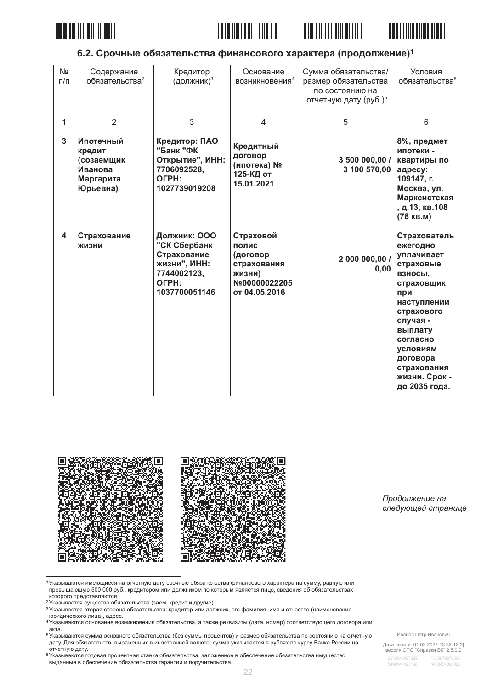







### 6.2. Срочные обязательства финансового характера (продолжение)<sup>1</sup>

| Nº<br>$\pi/\pi$ | Содержание<br>обязательства <sup>2</sup>                              | Кредитор<br>(должник) <sup>3</sup>                                                                   | Основание<br>возникновения <sup>4</sup>                                                   | Сумма обязательства/<br>размер обязательства<br>по состоянию на<br>отчетную дату (руб.) <sup>5</sup> | Условия<br>обязательства <sup>6</sup>                                                                                                                                                                                        |
|-----------------|-----------------------------------------------------------------------|------------------------------------------------------------------------------------------------------|-------------------------------------------------------------------------------------------|------------------------------------------------------------------------------------------------------|------------------------------------------------------------------------------------------------------------------------------------------------------------------------------------------------------------------------------|
| 1               | $\overline{2}$                                                        | 3                                                                                                    | $\overline{4}$                                                                            | 5                                                                                                    | 6                                                                                                                                                                                                                            |
| 3               | Ипотечный<br>кредит<br>(созаемщик<br>Иванова<br>Маргарита<br>Юрьевна) | Кредитор: ПАО<br>"Банк "ФК<br>Открытие", ИНН:<br>7706092528,<br>OFPH:<br>1027739019208               | Кредитный<br>договор<br>(ипотека) №<br>125-КД от<br>15.01.2021                            | 3 500 000,00 /<br>3 100 570,00                                                                       | 8%, предмет<br>ипотеки -<br>квартиры по<br>адресу:<br>109147, г.<br>Москва, ул.<br>Марксистская<br>, д.13, кв.108<br>(78 кв.м)                                                                                               |
| 4               | Страхование<br>жизни                                                  | Должник: ООО<br>"СК Сбербанк<br>Страхование<br>жизни", ИНН:<br>7744002123,<br>OFPH:<br>1037700051146 | Страховой<br>полис<br>(договор<br>страхования<br>жизни)<br>Nº00000022205<br>от 04.05.2016 | 2 000 000,00 /<br>0,00                                                                               | Страхователь<br>ежегодно<br>уплачивает<br>страховые<br>ВЗНОСЫ,<br>страховщик<br>при<br>наступлении<br>страхового<br>случая -<br>выплату<br>согласно<br>условиям<br>договора<br>страхования<br>жизни. Срок -<br>до 2035 года. |



Продолжение на следующей странице

1 Указываются имеющиеся на отчетную дату срочные обязательства финансового характера на сумму, равную или превышающую 500 000 руб., кредитором или должником по которым является лицо, сведения об обязательствах которого представляются.

- 2 Указывается существо обязательства (заем, кредит и другие).
- з насывается вторая сторона обязательства: кредитор или должник, его фамилия, имя и отчество (наименование юридического лица), адрес.
- и средительности и последние возникновения обязательства, а также реквизиты (дата, номер) соответствующего договора или<br>4 Указываются основание возникновения обязательства, а также реквизиты (дата, номер) соответствующего акта.

5 Указываются сумма основного обязательства (без суммы процентов) и размер обязательства по состоянию на отчетную дату. Для обязательств, выраженных в иностранной валюте, сумма указывается в рублях по курсу Банка России на

доту, для эстептения<br>отчетную дату.<br>6 указываются годовая процентная ставка обязательства, заложенное в обеспечение обязательства имущество, выданные в обеспечение обязательства гарантии и поручительства.

Иванов Петр Иванович

Дата печати: 01.02.2022 13:32:12[3]<br>версия СПО "Справки БК" 2.5.0.0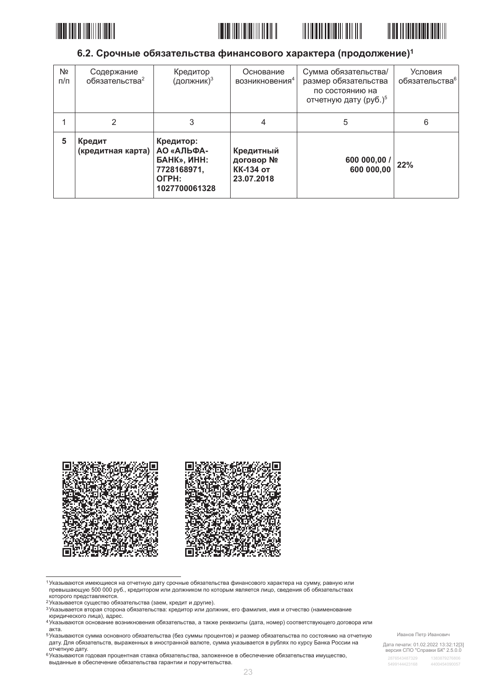







### 6.2. Срочные обязательства финансового характера (продолжение)<sup>1</sup>

| Nº<br>$\pi/\pi$ | Содержание<br>обязательства <sup>2</sup> | Кредитор<br>(должник) $3$                                                              | Основание<br>возникновения <sup>4</sup>                  | Сумма обязательства/<br>размер обязательства<br>по состоянию на<br>отчетную дату (руб.) <sup>5</sup> | Условия<br>обязательства <sup>6</sup> |
|-----------------|------------------------------------------|----------------------------------------------------------------------------------------|----------------------------------------------------------|------------------------------------------------------------------------------------------------------|---------------------------------------|
|                 | 2                                        | 3                                                                                      |                                                          | 5                                                                                                    | 6                                     |
| 5               | Кредит<br>(кредитная карта)              | Кредитор:<br>АО «АЛЬФА-<br><b>GAHK», ИНН:</b><br>7728168971,<br>OFPH:<br>1027700061328 | Кредитный<br>договор №<br><b>КК-134 от</b><br>23.07.2018 | 600 000,00<br>600 000,00                                                                             | 22%                                   |



1 Указываются имеющиеся на отчетную дату срочные обязательства финансового характера на сумму, равную или превышающую 500 000 руб., кредитором или должником по которым является лицо, сведения об обязательствах которого представляются.

- е которого предотавляются:<br>2 Указывается существо обязательства (заем, кредит и другие).
- з насывается вторая сторона обязательства: кредитор или должник, его фамилия, имя и отчество (наименование юридического лица), адрес.
- и средительности и последние возникновения обязательства, а также реквизиты (дата, номер) соответствующего договора или<br>4 Указываются основание возникновения обязательства, а также реквизиты (дата, номер) соответствующего акта.

5 Указываются сумма основного обязательства (без суммы процентов) и размер обязательства по состоянию на отчетную дату. Для обязательств, выраженных в иностранной валюте, сумма указывается в рублях по курсу Банка России на

дату. для эстания.<br>отчетную дату.<br><sup>6</sup>Указываются годовая процентная ставка обязательства, заложенное в обеспечение обязательства имущество, выданные в обеспечение обязательства гарантии и поручительства.

Иванов Петр Иванович

Дата печати: 01.02.2022 13:32:12[3]<br>версия СПО "Справки БК" 2.5.0.0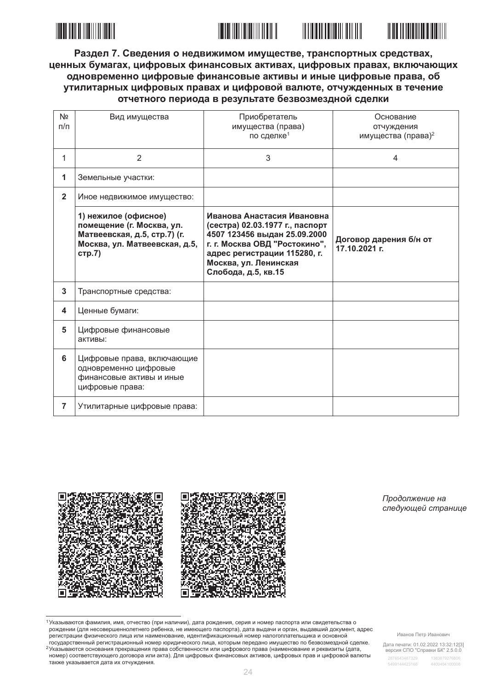

<u> III Martin Martin II</u>



Раздел 7. Сведения о недвижимом имуществе, транспортных средствах, ценных бумагах, цифровых финансовых активах, цифровых правах, включающих одновременно цифровые финансовые активы и иные цифровые права, об утилитарных цифровых правах и цифровой валюте, отчужденных в течение отчетного периода в результате безвозмездной сделки

| N <sub>2</sub><br>$\Pi/\Pi$ | Вид имущества                                                                                                                | Приобретатель<br>имущества (права)<br>по сделке <sup>1</sup>                                                                                                                                                   | Основание<br>отчуждения<br>имущества (права) <sup>2</sup> |
|-----------------------------|------------------------------------------------------------------------------------------------------------------------------|----------------------------------------------------------------------------------------------------------------------------------------------------------------------------------------------------------------|-----------------------------------------------------------|
| 1                           | $\overline{2}$                                                                                                               | 3                                                                                                                                                                                                              | 4                                                         |
| 1                           | Земельные участки:                                                                                                           |                                                                                                                                                                                                                |                                                           |
| $\overline{2}$              | Иное недвижимое имущество:                                                                                                   |                                                                                                                                                                                                                |                                                           |
|                             | 1) нежилое (офисное)<br>помещение (г. Москва, ул.<br>Матвеевская, д.5, стр.7) (г.<br>Москва, ул. Матвеевская, д.5,<br>стр.7) | Иванова Анастасия Ивановна<br>(сестра) 02.03.1977 г., паспорт<br>4507 123456 выдан 25.09.2000<br>г. г. Москва ОВД "Ростокино",<br>адрес регистрации 115280, г.<br>Москва, ул. Ленинская<br>Слобода, д.5, кв.15 | Договор дарения б/н от<br>17.10.2021 г.                   |
| 3                           | Транспортные средства:                                                                                                       |                                                                                                                                                                                                                |                                                           |
| 4                           | Ценные бумаги:                                                                                                               |                                                                                                                                                                                                                |                                                           |
| 5                           | Цифровые финансовые<br>активы:                                                                                               |                                                                                                                                                                                                                |                                                           |
| 6                           | Цифровые права, включающие<br>одновременно цифровые<br>финансовые активы и иные<br>цифровые права:                           |                                                                                                                                                                                                                |                                                           |
| $\overline{7}$              | Утилитарные цифровые права:                                                                                                  |                                                                                                                                                                                                                |                                                           |



Продолжение на следующей странице

1 Указываются фамилия, имя, отчество (при наличии), дата рождения, серия и номер паспорта или свидетельства о рождении (для несовершеннолетнего ребенка, не имеющего паспорта), дата выдачи и орган, выдавший документ, адрес регистрации физического лица или наименование, идентификационный номер налогоплательщика и основной государственный регистрационный номер юридического лица, которым передано имущество по безвозмездной сделке. <sup>2</sup> Указываются основания прекращения права собственности или цифрового права (наименование и реквизиты (дата, номер) соответствующего договора или акта). Для цифровых финансовых активов, цифровых прав и цифровой валюты также указывается дата их отчуждения.

Иванов Петр Иванович

Дата печати: 01.02.2022 13:32:12[3]<br>версия СПО "Справки БК" 2.5.0.0